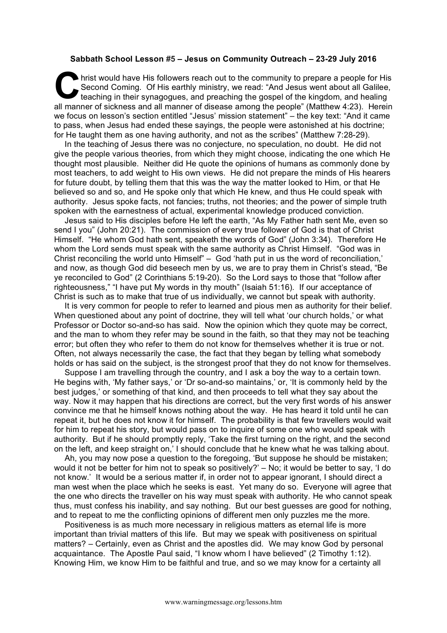## **Sabbath School Lesson #5 – Jesus on Community Outreach – 23-29 July 2016**

hrist would have His followers reach out to the community to prepare a people for His<br>
Second Coming. Of His earthly ministry, we read: "And Jesus went about all Galilee,<br>
teaching in their synagogues, and preaching the go Second Coming. Of His earthly ministry, we read: "And Jesus went about all Galilee, teaching in their synagogues, and preaching the gospel of the kingdom, and healing all manner of sickness and all manner of disease among the people" (Matthew 4:23). Herein we focus on lesson's section entitled "Jesus' mission statement" – the key text: "And it came to pass, when Jesus had ended these sayings, the people were astonished at his doctrine; for He taught them as one having authority, and not as the scribes" (Matthew 7:28-29).

In the teaching of Jesus there was no conjecture, no speculation, no doubt. He did not give the people various theories, from which they might choose, indicating the one which He thought most plausible. Neither did He quote the opinions of humans as commonly done by most teachers, to add weight to His own views. He did not prepare the minds of His hearers for future doubt, by telling them that this was the way the matter looked to Him, or that He believed so and so, and He spoke only that which He knew, and thus He could speak with authority. Jesus spoke facts, not fancies; truths, not theories; and the power of simple truth spoken with the earnestness of actual, experimental knowledge produced conviction.

Jesus said to His disciples before He left the earth, "As My Father hath sent Me, even so send I you" (John 20:21). The commission of every true follower of God is that of Christ Himself. "He whom God hath sent, speaketh the words of God" (John 3:34). Therefore He whom the Lord sends must speak with the same authority as Christ Himself. "God was in Christ reconciling the world unto Himself" – God 'hath put in us the word of reconciliation,' and now, as though God did beseech men by us, we are to pray them in Christ's stead, "Be ye reconciled to God" (2 Corinthians 5:19-20). So the Lord says to those that "follow after righteousness," "I have put My words in thy mouth" (Isaiah 51:16). If our acceptance of Christ is such as to make that true of us individually, we cannot but speak with authority.

It is very common for people to refer to learned and pious men as authority for their belief. When questioned about any point of doctrine, they will tell what 'our church holds,' or what Professor or Doctor so-and-so has said. Now the opinion which they quote may be correct, and the man to whom they refer may be sound in the faith, so that they may not be teaching error; but often they who refer to them do not know for themselves whether it is true or not. Often, not always necessarily the case, the fact that they began by telling what somebody holds or has said on the subject, is the strongest proof that they do not know for themselves.

Suppose I am travelling through the country, and I ask a boy the way to a certain town. He begins with, 'My father says,' or 'Dr so-and-so maintains,' or, 'It is commonly held by the best judges,' or something of that kind, and then proceeds to tell what they say about the way. Now it may happen that his directions are correct, but the very first words of his answer convince me that he himself knows nothing about the way. He has heard it told until he can repeat it, but he does not know it for himself. The probability is that few travellers would wait for him to repeat his story, but would pass on to inquire of some one who would speak with authority. But if he should promptly reply, 'Take the first turning on the right, and the second on the left, and keep straight on,' I should conclude that he knew what he was talking about.

Ah, you may now pose a question to the foregoing, 'But suppose he should be mistaken; would it not be better for him not to speak so positively?' – No; it would be better to say, 'I do not know.' It would be a serious matter if, in order not to appear ignorant, I should direct a man west when the place which he seeks is east. Yet many do so. Everyone will agree that the one who directs the traveller on his way must speak with authority. He who cannot speak thus, must confess his inability, and say nothing. But our best guesses are good for nothing, and to repeat to me the conflicting opinions of different men only puzzles me the more.

Positiveness is as much more necessary in religious matters as eternal life is more important than trivial matters of this life. But may we speak with positiveness on spiritual matters? – Certainly, even as Christ and the apostles did. We may know God by personal acquaintance. The Apostle Paul said, "I know whom I have believed" (2 Timothy 1:12). Knowing Him, we know Him to be faithful and true, and so we may know for a certainty all